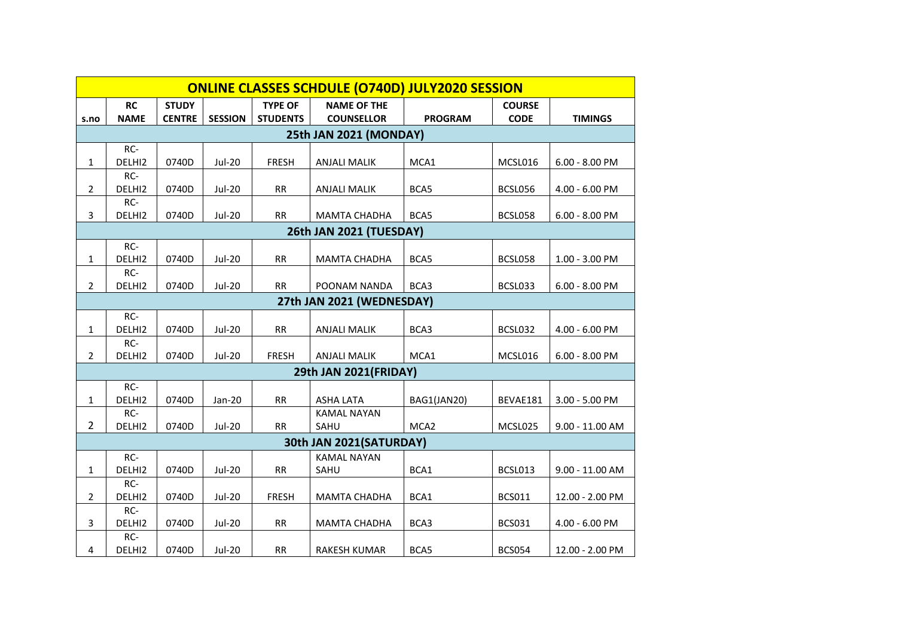| <b>ONLINE CLASSES SCHDULE (O740D) JULY2020 SESSION</b> |               |               |                |                 |                     |                  |               |                   |  |  |  |  |
|--------------------------------------------------------|---------------|---------------|----------------|-----------------|---------------------|------------------|---------------|-------------------|--|--|--|--|
|                                                        | <b>RC</b>     | <b>STUDY</b>  |                | <b>TYPE OF</b>  | <b>NAME OF THE</b>  |                  | <b>COURSE</b> |                   |  |  |  |  |
| s.no                                                   | <b>NAME</b>   | <b>CENTRE</b> | <b>SESSION</b> | <b>STUDENTS</b> | <b>COUNSELLOR</b>   | <b>PROGRAM</b>   | <b>CODE</b>   | <b>TIMINGS</b>    |  |  |  |  |
| 25th JAN 2021 (MONDAY)                                 |               |               |                |                 |                     |                  |               |                   |  |  |  |  |
|                                                        | RC-           |               |                |                 |                     |                  |               |                   |  |  |  |  |
| $\mathbf{1}$                                           | DELHI2        | 0740D         | Jul-20         | <b>FRESH</b>    | <b>ANJALI MALIK</b> | MCA1             | MCSL016       | $6.00 - 8.00$ PM  |  |  |  |  |
|                                                        | RC-           |               |                |                 |                     |                  |               |                   |  |  |  |  |
| $\overline{2}$                                         | DELHI2        | 0740D         | Jul-20         | <b>RR</b>       | <b>ANJALI MALIK</b> | BCA5             | BCSL056       | 4.00 - 6.00 PM    |  |  |  |  |
|                                                        | RC-           |               |                |                 |                     |                  |               |                   |  |  |  |  |
| 3                                                      | DELHI2        | 0740D         | Jul-20         | <b>RR</b>       | <b>MAMTA CHADHA</b> | BCA5             | BCSL058       | $6.00 - 8.00$ PM  |  |  |  |  |
| 26th JAN 2021 (TUESDAY)                                |               |               |                |                 |                     |                  |               |                   |  |  |  |  |
|                                                        | RC-           |               |                |                 |                     |                  |               |                   |  |  |  |  |
| 1                                                      | DELHI2        | 0740D         | Jul-20         | <b>RR</b>       | <b>MAMTA CHADHA</b> | BCA5             | BCSL058       | $1.00 - 3.00$ PM  |  |  |  |  |
| $\overline{2}$                                         | RC-<br>DELHI2 | 0740D         | <b>Jul-20</b>  | <b>RR</b>       | POONAM NANDA        | BCA3             | BCSL033       | $6.00 - 8.00$ PM  |  |  |  |  |
|                                                        |               |               |                |                 |                     |                  |               |                   |  |  |  |  |
| 27th JAN 2021 (WEDNESDAY)                              |               |               |                |                 |                     |                  |               |                   |  |  |  |  |
|                                                        | RC-<br>DELHI2 |               |                |                 |                     |                  |               |                   |  |  |  |  |
| $\mathbf{1}$                                           | RC-           | 0740D         | Jul-20         | <b>RR</b>       | <b>ANJALI MALIK</b> | BCA3             | BCSL032       | 4.00 - 6.00 PM    |  |  |  |  |
| $\overline{2}$                                         | DELHI2        | 0740D         | Jul-20         | <b>FRESH</b>    | <b>ANJALI MALIK</b> | MCA1             | MCSL016       | $6.00 - 8.00$ PM  |  |  |  |  |
| <b>29th JAN 2021(FRIDAY)</b>                           |               |               |                |                 |                     |                  |               |                   |  |  |  |  |
|                                                        | RC-           |               |                |                 |                     |                  |               |                   |  |  |  |  |
| 1                                                      | DELHI2        | 0740D         | Jan-20         | RR              | ASHA LATA           | BAG1(JAN20)      | BEVAE181      | 3.00 - 5.00 PM    |  |  |  |  |
|                                                        | RC-           |               |                |                 | <b>KAMAL NAYAN</b>  |                  |               |                   |  |  |  |  |
| $\overline{2}$                                         | DELHI2        | 0740D         | <b>Jul-20</b>  | RR              | SAHU                | MCA <sub>2</sub> | MCSL025       | $9.00 - 11.00$ AM |  |  |  |  |
| 30th JAN 2021(SATURDAY)                                |               |               |                |                 |                     |                  |               |                   |  |  |  |  |
|                                                        | RC-           |               |                |                 | <b>KAMAL NAYAN</b>  |                  |               |                   |  |  |  |  |
| $\mathbf{1}$                                           | DELHI2        | 0740D         | Jul-20         | RR              | SAHU                | BCA1             | BCSL013       | $9.00 - 11.00$ AM |  |  |  |  |
|                                                        | RC-           |               |                |                 |                     |                  |               |                   |  |  |  |  |
| $\overline{2}$                                         | DELHI2        | 0740D         | Jul-20         | <b>FRESH</b>    | MAMTA CHADHA        | BCA1             | <b>BCS011</b> | 12.00 - 2.00 PM   |  |  |  |  |
|                                                        | RC-           |               |                |                 |                     |                  |               |                   |  |  |  |  |
| 3                                                      | DELHI2        | 0740D         | <b>Jul-20</b>  | RR              | <b>MAMTA CHADHA</b> | BCA3             | <b>BCS031</b> | 4.00 - 6.00 PM    |  |  |  |  |
|                                                        | RC-           |               |                |                 |                     |                  |               |                   |  |  |  |  |
| 4                                                      | DELHI2        | 0740D         | Jul-20         | <b>RR</b>       | <b>RAKESH KUMAR</b> | BCA5             | <b>BCS054</b> | 12.00 - 2.00 PM   |  |  |  |  |